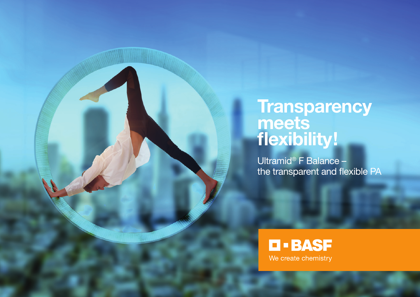# Transparency<br>meets<br>flexibility!

Ultramid<sup>®</sup> F Balance the transparent and flexible PA

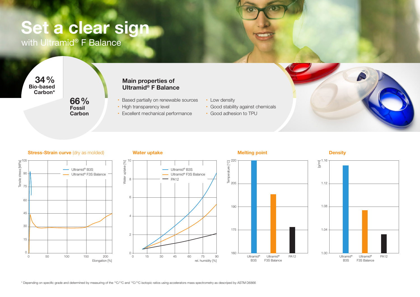# Set a clear sign

with Ultramid<sup>®</sup> F Balance

34% Bio-based Carbon\*

> 66% **Fossil Carbon**

# Main properties of Ultramid® F Balance

- Based partially on renewable sources
- High transparency level
- Excellent mechanical performance
- Low density
	- Good stability against chemicals
	- Good adhesion to TPU







10

8

Water uptake [%]

Water uptake [%]

6

4

2

 $0 +$ 



Ultramid® B3S Ultramid® F3S Balance

PA12

rel. humidity [%]

0 15 30 45 60 75 90







**Density**